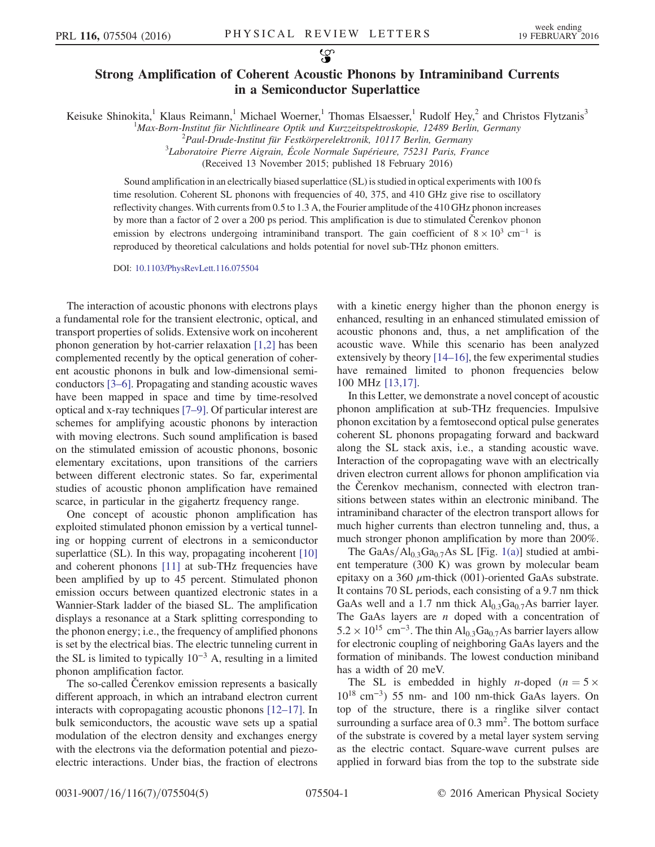## Strong Amplification of Coherent Acoustic Phonons by Intraminiband Currents in a Semiconductor Superlattice

Keisuke Shinokita,<sup>1</sup> Klaus Reimann,<sup>1</sup> Michael Woerner,<sup>1</sup> Thomas Elsaesser,<sup>1</sup> Rudolf Hey,<sup>2</sup> and Christos Flytzanis<sup>3</sup>

<sup>1</sup>Max-Born-Institut für Nichtlineare Optik und Kurzzeitspektroskopie, 12489 Berlin, Germany<br><sup>2</sup>Paul Drude Institut für Eestkörnerelektronik, 10117 Berlin, Germany

 $^{2}$ Paul-Drude-Institut für Festkörperelektronik, 10117 Berlin, Germany

 ${}^{3}$ Laboratoire Pierre Aigrain, École Normale Supérieure, 75231 Paris, France

(Received 13 November 2015; published 18 February 2016)

Sound amplification in an electrically biased superlattice (SL) is studied in optical experiments with 100 fs time resolution. Coherent SL phonons with frequencies of 40, 375, and 410 GHz give rise to oscillatory reflectivity changes. With currents from 0.5 to 1.3 A, the Fourier amplitude of the 410 GHz phonon increases by more than a factor of 2 over a 200 ps period. This amplification is due to stimulated Čerenkov phonon emission by electrons undergoing intraminiband transport. The gain coefficient of  $8 \times 10^3$  cm<sup>-1</sup> is reproduced by theoretical calculations and holds potential for novel sub-THz phonon emitters.

DOI: [10.1103/PhysRevLett.116.075504](http://dx.doi.org/10.1103/PhysRevLett.116.075504)

The interaction of acoustic phonons with electrons plays a fundamental role for the transient electronic, optical, and transport properties of solids. Extensive work on incoherent phonon generation by hot-carrier relaxation [\[1,2\]](#page-4-0) has been complemented recently by the optical generation of coherent acoustic phonons in bulk and low-dimensional semiconductors [\[3](#page-4-1)–6]. Propagating and standing acoustic waves have been mapped in space and time by time-resolved optical and x-ray techniques [7–[9\].](#page-4-2) Of particular interest are schemes for amplifying acoustic phonons by interaction with moving electrons. Such sound amplification is based on the stimulated emission of acoustic phonons, bosonic elementary excitations, upon transitions of the carriers between different electronic states. So far, experimental studies of acoustic phonon amplification have remained scarce, in particular in the gigahertz frequency range.

One concept of acoustic phonon amplification has exploited stimulated phonon emission by a vertical tunneling or hopping current of electrons in a semiconductor superlattice (SL). In this way, propagating incoherent [\[10\]](#page-4-3) and coherent phonons [\[11\]](#page-4-4) at sub-THz frequencies have been amplified by up to 45 percent. Stimulated phonon emission occurs between quantized electronic states in a Wannier-Stark ladder of the biased SL. The amplification displays a resonance at a Stark splitting corresponding to the phonon energy; i.e., the frequency of amplified phonons is set by the electrical bias. The electric tunneling current in the SL is limited to typically  $10^{-3}$  A, resulting in a limited phonon amplification factor.

The so-called Čerenkov emission represents a basically different approach, in which an intraband electron current interacts with copropagating acoustic phonons [12–[17\].](#page-4-5) In bulk semiconductors, the acoustic wave sets up a spatial modulation of the electron density and exchanges energy with the electrons via the deformation potential and piezoelectric interactions. Under bias, the fraction of electrons with a kinetic energy higher than the phonon energy is enhanced, resulting in an enhanced stimulated emission of acoustic phonons and, thus, a net amplification of the acoustic wave. While this scenario has been analyzed extensively by theory [\[14](#page-4-6)–16], the few experimental studies have remained limited to phonon frequencies below 100 MHz [\[13,17\].](#page-4-7)

In this Letter, we demonstrate a novel concept of acoustic phonon amplification at sub-THz frequencies. Impulsive phonon excitation by a femtosecond optical pulse generates coherent SL phonons propagating forward and backward along the SL stack axis, i.e., a standing acoustic wave. Interaction of the copropagating wave with an electrically driven electron current allows for phonon amplification via the Čerenkov mechanism, connected with electron transitions between states within an electronic miniband. The intraminiband character of the electron transport allows for much higher currents than electron tunneling and, thus, a much stronger phonon amplification by more than 200%.

The GaAs/ $Al<sub>0.3</sub>Ga<sub>0.7</sub>As SL [Fig. 1(a)] studied at ambi Al<sub>0.3</sub>Ga<sub>0.7</sub>As SL [Fig. 1(a)] studied at ambi Al<sub>0.3</sub>Ga<sub>0.7</sub>As SL [Fig. 1(a)] studied at ambi$ ent temperature (300 K) was grown by molecular beam epitaxy on a 360  $\mu$ m-thick (001)-oriented GaAs substrate. It contains 70 SL periods, each consisting of a 9.7 nm thick GaAs well and a 1.7 nm thick  $Al_{0.3}Ga_{0.7}As$  barrier layer. The GaAs layers are  $n$  doped with a concentration of  $5.2 \times 10^{15}$  cm<sup>-3</sup>. The thin Al<sub>0.3</sub>Ga<sub>0.7</sub>As barrier layers allow for electronic coupling of neighboring GaAs layers and the formation of minibands. The lowest conduction miniband has a width of 20 meV.

The SL is embedded in highly *n*-doped ( $n = 5 \times$ 1018 cm<sup>−</sup><sup>3</sup>) 55 nm- and 100 nm-thick GaAs layers. On top of the structure, there is a ringlike silver contact surrounding a surface area of 0.3 mm<sup>2</sup>. The bottom surface of the substrate is covered by a metal layer system serving as the electric contact. Square-wave current pulses are applied in forward bias from the top to the substrate side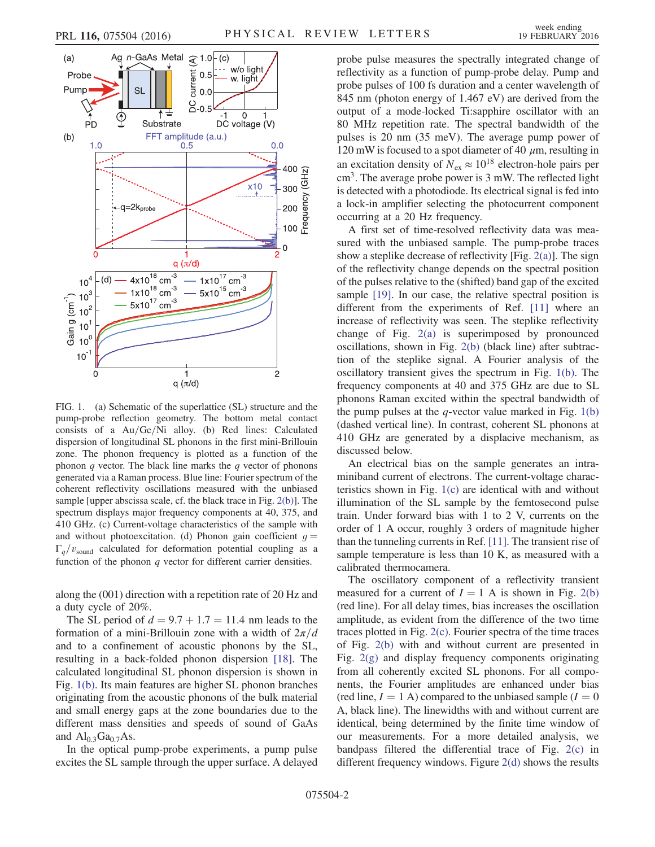<span id="page-1-0"></span>

FIG. 1. (a) Schematic of the superlattice (SL) structure and the pump-probe reflection geometry. The bottom metal contact consists of a  $Au/Ge/Ni$  alloy. (b) Red lines: Calculated dispersion of longitudinal SL phonons in the first mini-Brillouin zone. The phonon frequency is plotted as a function of the phonon  $q$  vector. The black line marks the  $q$  vector of phonons generated via a Raman process. Blue line: Fourier spectrum of the coherent reflectivity oscillations measured with the unbiased sample [upper abscissa scale, cf. the black trace in Fig. [2\(b\)\]](#page-2-0). The spectrum displays major frequency components at 40, 375, and 410 GHz. (c) Current-voltage characteristics of the sample with and without photoexcitation. (d) Phonon gain coefficient  $q =$  $\Gamma_q/v_{\text{sound}}$  calculated for deformation potential coupling as a function of the phonon q vector for different carrier densities.

along the (001) direction with a repetition rate of 20 Hz and a duty cycle of 20%.

The SL period of  $d = 9.7 + 1.7 = 11.4$  nm leads to the formation of a mini-Brillouin zone with a width of  $2\pi/d$ and to a confinement of acoustic phonons by the SL, resulting in a back-folded phonon dispersion [\[18\]](#page-4-8). The calculated longitudinal SL phonon dispersion is shown in Fig. [1\(b\).](#page-1-0) Its main features are higher SL phonon branches originating from the acoustic phonons of the bulk material and small energy gaps at the zone boundaries due to the different mass densities and speeds of sound of GaAs and  $Al<sub>0.3</sub>Ga<sub>0.7</sub>As.$ 

In the optical pump-probe experiments, a pump pulse excites the SL sample through the upper surface. A delayed probe pulse measures the spectrally integrated change of reflectivity as a function of pump-probe delay. Pump and probe pulses of 100 fs duration and a center wavelength of 845 nm (photon energy of 1.467 eV) are derived from the output of a mode-locked Ti:sapphire oscillator with an 80 MHz repetition rate. The spectral bandwidth of the pulses is 20 nm (35 meV). The average pump power of 120 mW is focused to a spot diameter of 40  $\mu$ m, resulting in an excitation density of  $N_{ex} \approx 10^{18}$  electron-hole pairs per  $cm<sup>3</sup>$ . The average probe power is 3 mW. The reflected light is detected with a photodiode. Its electrical signal is fed into a lock-in amplifier selecting the photocurrent component occurring at a 20 Hz frequency.

A first set of time-resolved reflectivity data was measured with the unbiased sample. The pump-probe traces show a steplike decrease of reflectivity [Fig.  $2(a)$ ]. The sign of the reflectivity change depends on the spectral position of the pulses relative to the (shifted) band gap of the excited sample [\[19\].](#page-4-9) In our case, the relative spectral position is different from the experiments of Ref. [\[11\]](#page-4-4) where an increase of reflectivity was seen. The steplike reflectivity change of Fig. [2\(a\)](#page-2-0) is superimposed by pronounced oscillations, shown in Fig. [2\(b\)](#page-2-0) (black line) after subtraction of the steplike signal. A Fourier analysis of the oscillatory transient gives the spectrum in Fig. [1\(b\)](#page-1-0). The frequency components at 40 and 375 GHz are due to SL phonons Raman excited within the spectral bandwidth of the pump pulses at the  $q$ -vector value marked in Fig. [1\(b\)](#page-1-0) (dashed vertical line). In contrast, coherent SL phonons at 410 GHz are generated by a displacive mechanism, as discussed below.

An electrical bias on the sample generates an intraminiband current of electrons. The current-voltage characteristics shown in Fig. [1\(c\)](#page-1-0) are identical with and without illumination of the SL sample by the femtosecond pulse train. Under forward bias with 1 to 2 V, currents on the order of 1 A occur, roughly 3 orders of magnitude higher than the tunneling currents in Ref. [\[11\].](#page-4-4) The transient rise of sample temperature is less than 10 K, as measured with a calibrated thermocamera.

The oscillatory component of a reflectivity transient measured for a current of  $I = 1$  A is shown in Fig. [2\(b\)](#page-2-0) (red line). For all delay times, bias increases the oscillation amplitude, as evident from the difference of the two time traces plotted in Fig. [2\(c\)](#page-2-0). Fourier spectra of the time traces of Fig. [2\(b\)](#page-2-0) with and without current are presented in Fig. [2\(g\)](#page-2-0) and display frequency components originating from all coherently excited SL phonons. For all components, the Fourier amplitudes are enhanced under bias (red line,  $I = 1$  A) compared to the unbiased sample ( $I = 0$ ) A, black line). The linewidths with and without current are identical, being determined by the finite time window of our measurements. For a more detailed analysis, we bandpass filtered the differential trace of Fig. [2\(c\)](#page-2-0) in different frequency windows. Figure [2\(d\)](#page-2-0) shows the results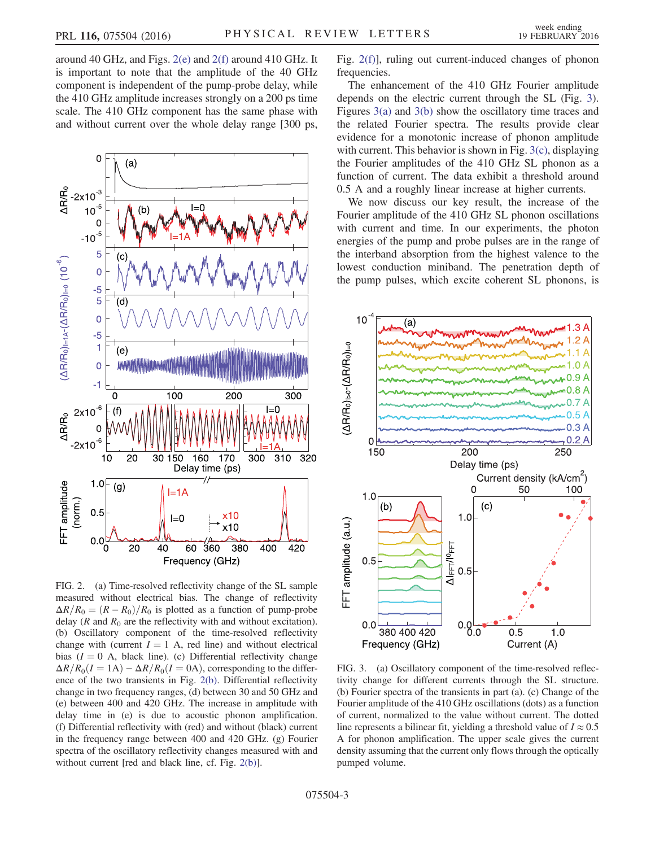around 40 GHz, and Figs. [2\(e\)](#page-2-0) and [2\(f\)](#page-2-0) around 410 GHz. It is important to note that the amplitude of the 40 GHz component is independent of the pump-probe delay, while the 410 GHz amplitude increases strongly on a 200 ps time scale. The 410 GHz component has the same phase with and without current over the whole delay range [300 ps,

<span id="page-2-0"></span>

FIG. 2. (a) Time-resolved reflectivity change of the SL sample measured without electrical bias. The change of reflectivity  $\Delta R/R_0 = (R - R_0)/R_0$  is plotted as a function of pump-probe delay ( $R$  and  $R_0$  are the reflectivity with and without excitation). (b) Oscillatory component of the time-resolved reflectivity change with (current  $I = 1$  A, red line) and without electrical bias ( $I = 0$  A, black line). (c) Differential reflectivity change  $\Delta R/R_0(I=1A) - \Delta R/R_0(I=0A)$ , corresponding to the difference of the two transients in Fig. [2\(b\).](#page-2-0) Differential reflectivity change in two frequency ranges, (d) between 30 and 50 GHz and (e) between 400 and 420 GHz. The increase in amplitude with delay time in (e) is due to acoustic phonon amplification. (f) Differential reflectivity with (red) and without (black) current in the frequency range between 400 and 420 GHz. (g) Fourier spectra of the oscillatory reflectivity changes measured with and without current [red and black line, cf. Fig. [2\(b\)\]](#page-2-0).

Fig. [2\(f\)](#page-2-0)], ruling out current-induced changes of phonon frequencies.

The enhancement of the 410 GHz Fourier amplitude depends on the electric current through the SL (Fig. [3](#page-2-1)). Figures [3\(a\)](#page-2-1) and [3\(b\)](#page-2-1) show the oscillatory time traces and the related Fourier spectra. The results provide clear evidence for a monotonic increase of phonon amplitude with current. This behavior is shown in Fig. [3\(c\),](#page-2-1) displaying the Fourier amplitudes of the 410 GHz SL phonon as a function of current. The data exhibit a threshold around 0.5 A and a roughly linear increase at higher currents.

We now discuss our key result, the increase of the Fourier amplitude of the 410 GHz SL phonon oscillations with current and time. In our experiments, the photon energies of the pump and probe pulses are in the range of the interband absorption from the highest valence to the lowest conduction miniband. The penetration depth of the pump pulses, which excite coherent SL phonons, is

<span id="page-2-1"></span>

FIG. 3. (a) Oscillatory component of the time-resolved reflectivity change for different currents through the SL structure. (b) Fourier spectra of the transients in part (a). (c) Change of the Fourier amplitude of the 410 GHz oscillations (dots) as a function of current, normalized to the value without current. The dotted line represents a bilinear fit, yielding a threshold value of  $I \approx 0.5$ A for phonon amplification. The upper scale gives the current density assuming that the current only flows through the optically pumped volume.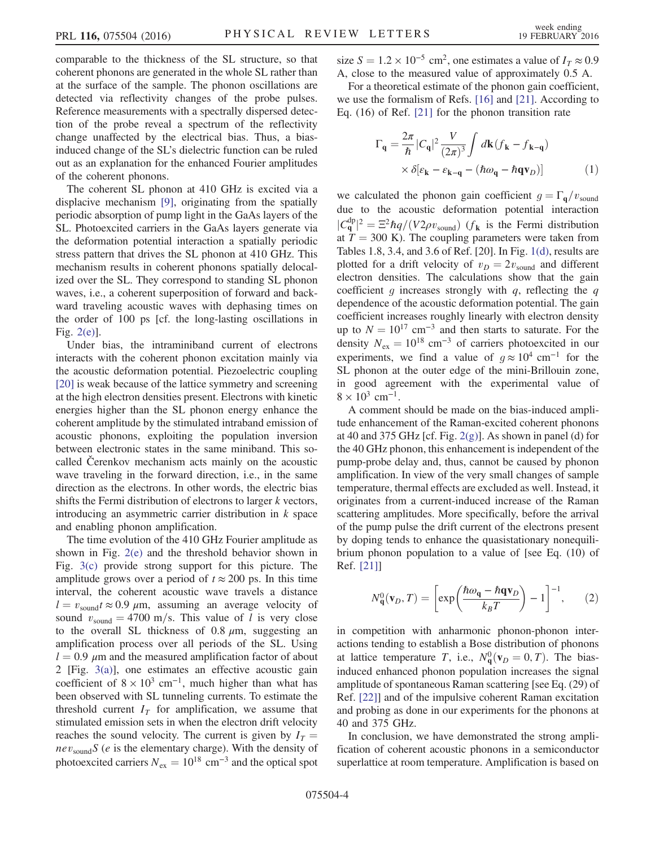comparable to the thickness of the SL structure, so that coherent phonons are generated in the whole SL rather than at the surface of the sample. The phonon oscillations are detected via reflectivity changes of the probe pulses. Reference measurements with a spectrally dispersed detection of the probe reveal a spectrum of the reflectivity change unaffected by the electrical bias. Thus, a biasinduced change of the SL's dielectric function can be ruled out as an explanation for the enhanced Fourier amplitudes of the coherent phonons.

The coherent SL phonon at 410 GHz is excited via a displacive mechanism [\[9\]](#page-4-10), originating from the spatially periodic absorption of pump light in the GaAs layers of the SL. Photoexcited carriers in the GaAs layers generate via the deformation potential interaction a spatially periodic stress pattern that drives the SL phonon at 410 GHz. This mechanism results in coherent phonons spatially delocalized over the SL. They correspond to standing SL phonon waves, i.e., a coherent superposition of forward and backward traveling acoustic waves with dephasing times on the order of 100 ps [cf. the long-lasting oscillations in Fig. [2\(e\)\]](#page-2-0).

Under bias, the intraminiband current of electrons interacts with the coherent phonon excitation mainly via the acoustic deformation potential. Piezoelectric coupling [\[20\]](#page-4-11) is weak because of the lattice symmetry and screening at the high electron densities present. Electrons with kinetic energies higher than the SL phonon energy enhance the coherent amplitude by the stimulated intraband emission of acoustic phonons, exploiting the population inversion between electronic states in the same miniband. This socalled Čerenkov mechanism acts mainly on the acoustic wave traveling in the forward direction, i.e., in the same direction as the electrons. In other words, the electric bias shifts the Fermi distribution of electrons to larger k vectors, introducing an asymmetric carrier distribution in  $k$  space and enabling phonon amplification.

The time evolution of the 410 GHz Fourier amplitude as shown in Fig. [2\(e\)](#page-2-0) and the threshold behavior shown in Fig. [3\(c\)](#page-2-1) provide strong support for this picture. The amplitude grows over a period of  $t \approx 200$  ps. In this time interval, the coherent acoustic wave travels a distance  $l = v_{\text{sound}}t \approx 0.9 \mu \text{m}$ , assuming an average velocity of sound  $v_{\text{sound}} = 4700 \text{ m/s}$ . This value of l is very close to the overall SL thickness of 0.8  $\mu$ m, suggesting an amplification process over all periods of the SL. Using  $l = 0.9 \mu$ m and the measured amplification factor of about 2 [Fig. [3\(a\)](#page-2-1)], one estimates an effective acoustic gain coefficient of  $8 \times 10^3$  cm<sup>-1</sup>, much higher than what has been observed with SL tunneling currents. To estimate the threshold current  $I_T$  for amplification, we assume that stimulated emission sets in when the electron drift velocity reaches the sound velocity. The current is given by  $I_T =$  $nev_{sound}S$  (e is the elementary charge). With the density of photoexcited carriers  $N_{\text{ex}} = 10^{18} \text{ cm}^{-3}$  and the optical spot size  $S = 1.2 \times 10^{-5}$  cm<sup>2</sup>, one estimates a value of  $I<sub>T</sub> \approx 0.9$ A, close to the measured value of approximately 0.5 A.

For a theoretical estimate of the phonon gain coefficient, we use the formalism of Refs. [\[16\]](#page-4-12) and [\[21\].](#page-4-13) According to Eq. (16) of Ref. [\[21\]](#page-4-13) for the phonon transition rate

$$
\Gamma_{\mathbf{q}} = \frac{2\pi}{\hbar} |C_{\mathbf{q}}|^2 \frac{V}{(2\pi)^3} \int d\mathbf{k} (f_{\mathbf{k}} - f_{\mathbf{k} - \mathbf{q}})
$$

$$
\times \delta [\varepsilon_{\mathbf{k}} - \varepsilon_{\mathbf{k} - \mathbf{q}} - (\hbar \omega_{\mathbf{q}} - \hbar \mathbf{q} \mathbf{v}_D)] \tag{1}
$$

we calculated the phonon gain coefficient  $g = \Gamma_{q}/v_{\text{sound}}$ due to the acoustic deformation potential interaction  $|C_{\mathbf{q}}^{\text{dp}}|^2 = \Xi^2 \hbar q/(V2\rho v_{\text{sound}})$  ( $f_{\mathbf{k}}$  is the Fermi distribution at  $T = 300$  K). The coupling parameters were taken from Tables 1.8, 3.4, and 3.6 of Ref. [20]. In Fig. [1\(d\)](#page-1-0), results are plotted for a drift velocity of  $v_D = 2v_{\text{sound}}$  and different electron densities. The calculations show that the gain coefficient q increases strongly with q, reflecting the q dependence of the acoustic deformation potential. The gain coefficient increases roughly linearly with electron density up to  $N = 10^{17}$  cm<sup>-3</sup> and then starts to saturate. For the density  $N_{ex} = 10^{18}$  cm<sup>-3</sup> of carriers photoexcited in our experiments, we find a value of  $g \approx 10^4$  cm<sup>-1</sup> for the SL phonon at the outer edge of the mini-Brillouin zone, in good agreement with the experimental value of  $8 \times 10^3$  cm<sup>-1</sup>.

A comment should be made on the bias-induced amplitude enhancement of the Raman-excited coherent phonons at 40 and 375 GHz [cf. Fig.  $2(g)$ ]. As shown in panel (d) for the 40 GHz phonon, this enhancement is independent of the pump-probe delay and, thus, cannot be caused by phonon amplification. In view of the very small changes of sample temperature, thermal effects are excluded as well. Instead, it originates from a current-induced increase of the Raman scattering amplitudes. More specifically, before the arrival of the pump pulse the drift current of the electrons present by doping tends to enhance the quasistationary nonequilibrium phonon population to a value of [see Eq. (10) of Ref. [\[21\]\]](#page-4-13)

$$
N_{\mathbf{q}}^{0}(\mathbf{v}_{D}, T) = \left[ \exp\left(\frac{\hbar \omega_{\mathbf{q}} - \hbar \mathbf{q} \mathbf{v}_{D}}{k_{B} T}\right) - 1 \right]^{-1}, \qquad (2)
$$

in competition with anharmonic phonon-phonon interactions tending to establish a Bose distribution of phonons at lattice temperature T, i.e.,  $N_q^0(v_D = 0, T)$ . The biasinduced enhanced phonon population increases the signal amplitude of spontaneous Raman scattering [see Eq. (29) of Ref. [\[22\]\]](#page-4-14) and of the impulsive coherent Raman excitation and probing as done in our experiments for the phonons at 40 and 375 GHz.

In conclusion, we have demonstrated the strong amplification of coherent acoustic phonons in a semiconductor superlattice at room temperature. Amplification is based on